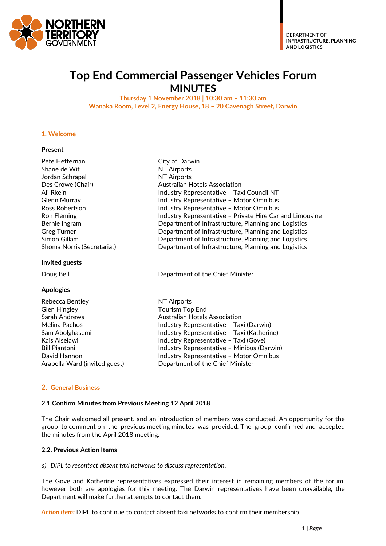

## **Top End Commercial Passenger Vehicles Forum MINUTES**

**Thursday 1 November 2018 | 10:30 am – 11:30 am Wanaka Room, Level 2, Energy House, 18 – 20 Cavenagh Street, Darwin**

#### **1. Welcome**

#### **Present**

| Pete Heffernan             | City of Darwin                                           |  |  |
|----------------------------|----------------------------------------------------------|--|--|
| Shane de Wit               | <b>NT Airports</b>                                       |  |  |
| Jordan Schrapel            | <b>NT Airports</b>                                       |  |  |
| Des Crowe (Chair)          | <b>Australian Hotels Association</b>                     |  |  |
| Ali Rkein                  | Industry Representative - Taxi Council NT                |  |  |
| <b>Glenn Murray</b>        | <b>Industry Representative - Motor Omnibus</b>           |  |  |
| Ross Robertson             | <b>Industry Representative - Motor Omnibus</b>           |  |  |
| Ron Fleming                | Industry Representative - Private Hire Car and Limousine |  |  |
| Bernie Ingram              | Department of Infrastructure, Planning and Logistics     |  |  |
| <b>Greg Turner</b>         | Department of Infrastructure, Planning and Logistics     |  |  |
| Simon Gillam               | Department of Infrastructure, Planning and Logistics     |  |  |
| Shoma Norris (Secretariat) | Department of Infrastructure, Planning and Logistics     |  |  |
| <b>Invited guests</b>      |                                                          |  |  |
| Doug Bell                  | Department of the Chief Minister                         |  |  |
| <b>Apologies</b>           |                                                          |  |  |
| Rebecca Bentley            | NT Airports                                              |  |  |
| <b>Glen Hingley</b>        | Tourism Top End                                          |  |  |
| Sarah Andrews              | Australian Hotels Association                            |  |  |
| Melina Pachos              | Industry Representative - Taxi (Darwin)                  |  |  |
| Sam Abolghasemi            | Industry Representative - Taxi (Katherine)               |  |  |
| Kais Alselawi              | Industry Representative - Taxi (Gove)                    |  |  |
| <b>Bill Piantoni</b>       | Industry Representative - Minibus (Darwin)               |  |  |

#### **2. General Business**

#### **2.1 Confirm Minutes from Previous Meeting 12 April 2018**

The Chair welcomed all present, and an introduction of members was conducted. An opportunity for the group to comment on the previous meeting minutes was provided. The group confirmed and accepted the minutes from the April 2018 meeting.

#### **2.2. Previous Action Items**

#### *a) DIPL to recontact absent taxi networks to discuss representation.*

The Gove and Katherine representatives expressed their interest in remaining members of the forum, however both are apologies for this meeting. The Darwin representatives have been unavailable, the Department will make further attempts to contact them.

*Action item:* DIPL to continue to contact absent taxi networks to confirm their membership.

David Hannon **Industry Representative – Motor Omnibus** 

Arabella Ward (invited guest) Department of the Chief Minister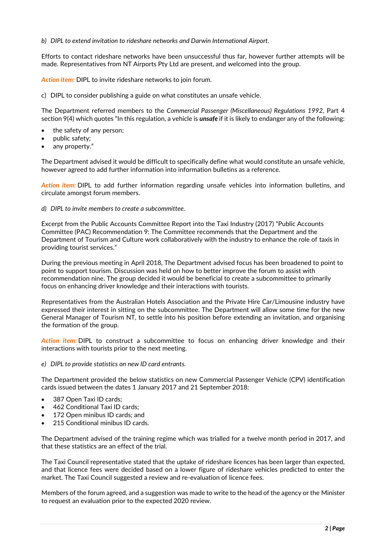#### *b) DIPL to extend invitation to rideshare networks and Darwin International Airport.*

Efforts to contact rideshare networks have been unsuccessful thus far, however further attempts will be made. Representatives from NT Airports Pty Ltd are present, and welcomed into the group.

*Action item:* DIPL to invite rideshare networks to join forum.

c) DIPL to consider publishing a guide on what constitutes an unsafe vehicle.

The Department referred members to the *Commercial Passenger (Miscellaneous) Regulations 1992*, Part 4 section 9(4) which quotes "In this regulation, a vehicle is *unsafe* if it is likely to endanger any of the following:

- the safety of any person;
- public safety;
- any property."

The Department advised it would be difficult to specifically define what would constitute an unsafe vehicle, however agreed to add further information into information bulletins as a reference.

*Action item:* DIPL to add further information regarding unsafe vehicles into information bulletins, and circulate amongst forum members.

*d) DIPL to invite members to create a subcommittee.*

Excerpt from the Public Accounts Committee Report into the Taxi Industry (2017) "Public Accounts Committee (PAC) Recommendation 9: The Committee recommends that the Department and the Department of Tourism and Culture work collaboratively with the industry to enhance the role of taxis in providing tourist services."

During the previous meeting in April 2018, The Department advised focus has been broadened to point to point to support tourism. Discussion was held on how to better improve the forum to assist with recommendation nine. The group decided it would be beneficial to create a subcommittee to primarily focus on enhancing driver knowledge and their interactions with tourists.

Representatives from the Australian Hotels Association and the Private Hire Car/Limousine industry have expressed their interest in sitting on the subcommittee. The Department will allow some time for the new General Manager of Tourism NT, to settle into his position before extending an invitation, and organising the formation of the group.

*Action item:* DIPL to construct a subcommittee to focus on enhancing driver knowledge and their interactions with tourists prior to the next meeting.

*e) DIPL to provide statistics on new ID card entrants.*

The Department provided the below statistics on new Commercial Passenger Vehicle (CPV) identification cards issued between the dates 1 January 2017 and 21 September 2018:

- 387 Open Taxi ID cards;
- 462 Conditional Taxi ID cards;
- 172 Open minibus ID cards; and
- 215 Conditional minibus ID cards.

The Department advised of the training regime which was trialled for a twelve month period in 2017, and that these statistics are an effect of the trial.

The Taxi Council representative stated that the uptake of rideshare licences has been larger than expected, and that licence fees were decided based on a lower figure of rideshare vehicles predicted to enter the market. The Taxi Council suggested a review and re-evaluation of licence fees.

Members of the forum agreed, and a suggestion was made to write to the head of the agency or the Minister to request an evaluation prior to the expected 2020 review.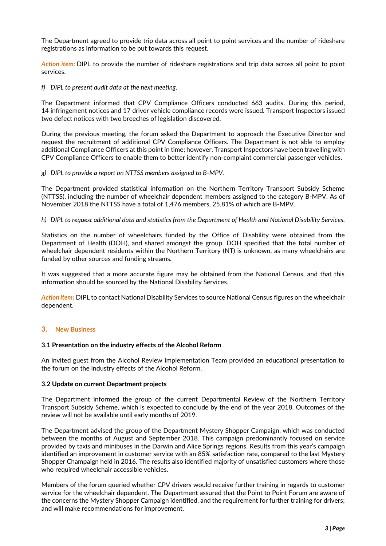The Department agreed to provide trip data across all point to point services and the number of rideshare registrations as information to be put towards this request.

*Action item:* DIPL to provide the number of rideshare registrations and trip data across all point to point services.

*f) DIPL to present audit data at the next meeting.*

The Department informed that CPV Compliance Officers conducted 663 audits. During this period, 14 infringement notices and 17 driver vehicle compliance records were issued. Transport Inspectors issued two defect notices with two breeches of legislation discovered.

During the previous meeting, the forum asked the Department to approach the Executive Director and request the recruitment of additional CPV Compliance Officers. The Department is not able to employ additional Compliance Officers at this point in time; however, Transport Inspectors have been travelling with CPV Compliance Officers to enable them to better identify non-complaint commercial passenger vehicles.

*g) DIPL to provide a report on NTTSS members assigned to B-MPV.*

The Department provided statistical information on the Northern Territory Transport Subsidy Scheme (NTTSS), including the number of wheelchair dependent members assigned to the category B-MPV. As of November 2018 the NTTSS have a total of 1,476 members, 25.81% of which are B-MPV.

#### *h) DIPL to request additional data and statistics from the Department of Health and National Disability Services.*

Statistics on the number of wheelchairs funded by the Office of Disability were obtained from the Department of Health (DOH), and shared amongst the group. DOH specified that the total number of wheelchair dependent residents within the Northern Territory (NT) is unknown, as many wheelchairs are funded by other sources and funding streams.

It was suggested that a more accurate figure may be obtained from the National Census, and that this information should be sourced by the National Disability Services.

*Action item:* DIPL to contact National Disability Services to source National Census figures on the wheelchair dependent.

#### **3. New Business**

#### **3.1 Presentation on the industry effects of the Alcohol Reform**

An invited guest from the Alcohol Review Implementation Team provided an educational presentation to the forum on the industry effects of the Alcohol Reform.

#### **3.2 Update on current Department projects**

The Department informed the group of the current Departmental Review of the Northern Territory Transport Subsidy Scheme, which is expected to conclude by the end of the year 2018. Outcomes of the review will not be available until early months of 2019.

The Department advised the group of the Department Mystery Shopper Campaign, which was conducted between the months of August and September 2018. This campaign predominantly focused on service provided by taxis and minibuses in the Darwin and Alice Springs regions. Results from this year's campaign identified an improvement in customer service with an 85% satisfaction rate, compared to the last Mystery Shopper Champaign held in 2016. The results also identified majority of unsatisfied customers where those who required wheelchair accessible vehicles.

Members of the forum queried whether CPV drivers would receive further training in regards to customer service for the wheelchair dependent. The Department assured that the Point to Point Forum are aware of the concerns the Mystery Shopper Campaign identified, and the requirement for further training for drivers; and will make recommendations for improvement.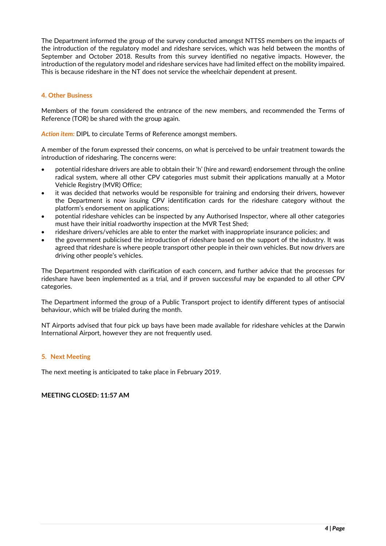The Department informed the group of the survey conducted amongst NTTSS members on the impacts of the introduction of the regulatory model and rideshare services, which was held between the months of September and October 2018. Results from this survey identified no negative impacts. However, the introduction of the regulatory model and rideshare services have had limited effect on the mobility impaired. This is because rideshare in the NT does not service the wheelchair dependent at present.

### **4. Other Business**

Members of the forum considered the entrance of the new members, and recommended the Terms of Reference (TOR) be shared with the group again.

*Action item:* DIPL to circulate Terms of Reference amongst members.

A member of the forum expressed their concerns, on what is perceived to be unfair treatment towards the introduction of ridesharing. The concerns were:

- potential rideshare drivers are able to obtain their 'h' (hire and reward) endorsement through the online radical system, where all other CPV categories must submit their applications manually at a Motor Vehicle Registry (MVR) Office;
- it was decided that networks would be responsible for training and endorsing their drivers, however the Department is now issuing CPV identification cards for the rideshare category without the platform's endorsement on applications;
- potential rideshare vehicles can be inspected by any Authorised Inspector, where all other categories must have their initial roadworthy inspection at the MVR Test Shed;
- rideshare drivers/vehicles are able to enter the market with inappropriate insurance policies; and
- the government publicised the introduction of rideshare based on the support of the industry. It was agreed that rideshare is where people transport other people in their own vehicles. But now drivers are driving other people's vehicles.

The Department responded with clarification of each concern, and further advice that the processes for rideshare have been implemented as a trial, and if proven successful may be expanded to all other CPV categories.

The Department informed the group of a Public Transport project to identify different types of antisocial behaviour, which will be trialed during the month.

NT Airports advised that four pick up bays have been made available for rideshare vehicles at the Darwin International Airport, however they are not frequently used.

#### **5. Next Meeting**

The next meeting is anticipated to take place in February 2019.

## **MEETING CLOSED: 11:57 AM**